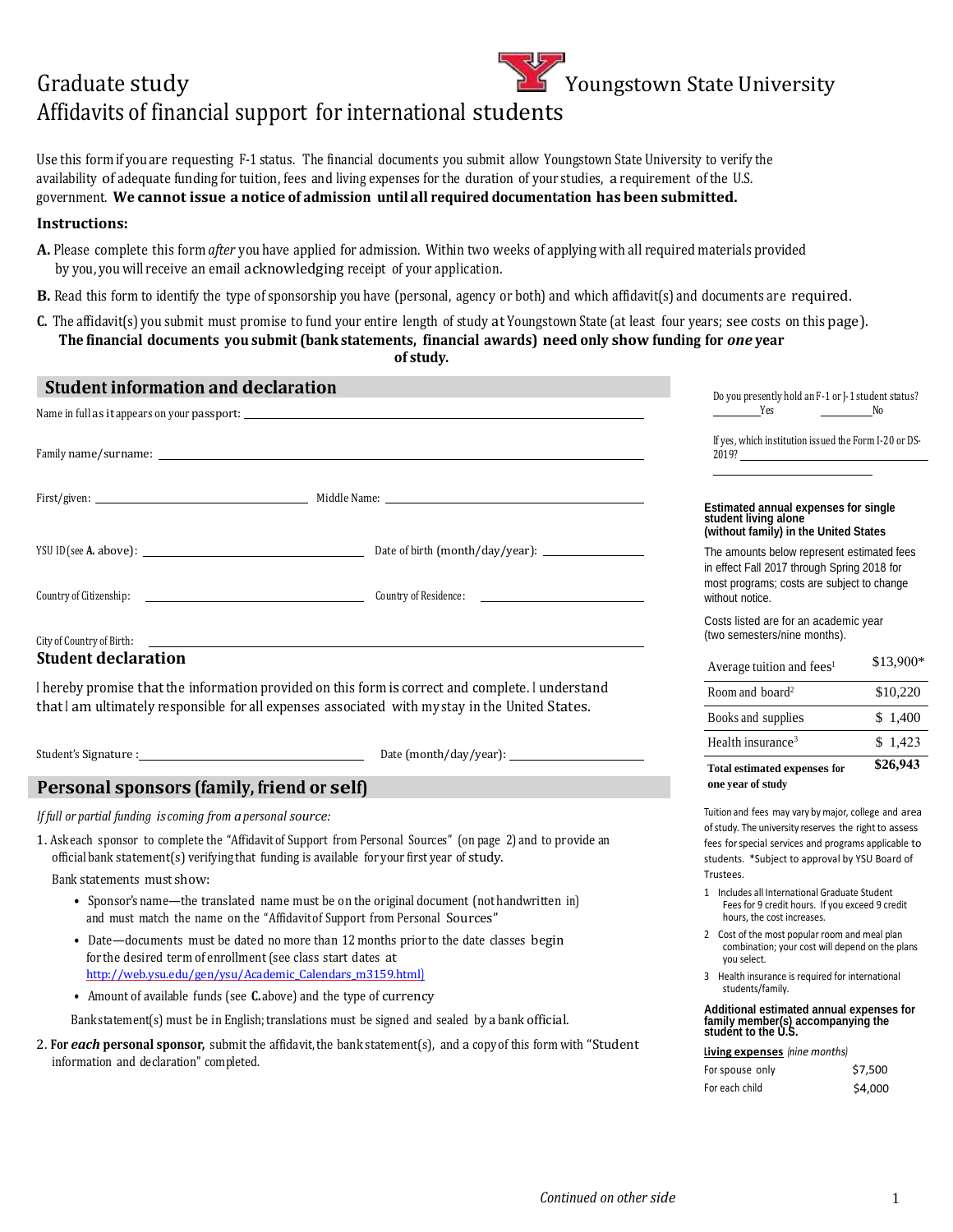## Graduate study Affidavits of financial support for international students Youngstown State University

 Use this form if you are requesting F-1 status. The financial documents you submit allow Youngstown State University to verify the availability of adequate funding for tuition, fees and living expenses for the duration of your studies, a requirement of the U.S.  government. **We cannot issue a notice of admission until all required documentation has been submitted.** 

## **Instructions:**

- **A.** Please complete this form *after* you have applied for admission. Within two weeks of applying with all required materials provided by you, you will receive an email acknowledging receipt of your application.
- **B.** Read this form to identify the type of sponsorship you have (personal, agency or both) and which affidavit(s) and documents are required.
- **C.** The affidavit(s) you submit must promise to fund your entire length of study at Youngstown State (at least four years; see costs on this page).  **The financial documents you submit (bank statements, financial awards) need only show funding for** *one* **year**

**of study.**

| <b>Student information and declaration</b>                                                                                                                                                                    |  | Do you presently hold an F-1 or J-1 student status?                                                                                                                                                                     |           |
|---------------------------------------------------------------------------------------------------------------------------------------------------------------------------------------------------------------|--|-------------------------------------------------------------------------------------------------------------------------------------------------------------------------------------------------------------------------|-----------|
|                                                                                                                                                                                                               |  | N <sub>0</sub><br><b>Example 18</b> Yes                                                                                                                                                                                 |           |
|                                                                                                                                                                                                               |  | If yes, which institution issued the Form I-20 or DS-                                                                                                                                                                   |           |
|                                                                                                                                                                                                               |  | Estimated annual expenses for single<br>student living alone<br>(without family) in the United States                                                                                                                   |           |
|                                                                                                                                                                                                               |  | The amounts below represent estimated fees<br>in effect Fall 2017 through Spring 2018 for<br>most programs; costs are subject to change<br>without notice.                                                              |           |
|                                                                                                                                                                                                               |  | Costs listed are for an academic year<br>(two semesters/nine months).                                                                                                                                                   |           |
| <b>Student declaration</b>                                                                                                                                                                                    |  | Average tuition and fees <sup>1</sup>                                                                                                                                                                                   | \$13,900* |
| I hereby promise that the information provided on this form is correct and complete. I understand<br>that I am ultimately responsible for all expenses associated with my stay in the United States.          |  | Room and board <sup>2</sup>                                                                                                                                                                                             | \$10,220  |
|                                                                                                                                                                                                               |  | Books and supplies                                                                                                                                                                                                      | \$1,400   |
|                                                                                                                                                                                                               |  | Health insurance <sup>3</sup>                                                                                                                                                                                           | \$1,423   |
| Personal sponsors (family, friend or self)                                                                                                                                                                    |  | <b>Total estimated expenses for</b><br>one year of study                                                                                                                                                                | \$26,943  |
| If full or partial funding is coming from a personal source:                                                                                                                                                  |  | Tuition and fees may vary by major, college and area<br>of study. The university reserves the right to assess<br>fees for special services and programs applicable to<br>students. *Subject to approval by YSU Board of |           |
| 1. Askeach sponsor to complete the "Affidavit of Support from Personal Sources" (on page 2) and to provide an<br>official bank statement(s) verifying that funding is available for your first year of study. |  |                                                                                                                                                                                                                         |           |
| Bank statements must show:                                                                                                                                                                                    |  | Trustees.<br>1 Includes all International Graduate Student                                                                                                                                                              |           |
| • Sponsor's name—the translated name must be on the original document (not handwritten in)<br>and must match the name on the "Affidavit of Support from Personal Sources"                                     |  | Fees for 9 credit hours. If you exceed 9 credit<br>hours, the cost increases.                                                                                                                                           |           |
| • Date—documents must be dated no more than 12 months prior to the date classes begin<br>for the desired term of enrollment (see class start dates at                                                         |  | 2 Cost of the most popular room and meal plan<br>combination; your cost will depend on the plans<br>you select.                                                                                                         |           |
| http://web.ysu.edu/gen/ysu/Academic Calendars m3159.html)                                                                                                                                                     |  | 3 Health insurance is required for international<br>students/family.                                                                                                                                                    |           |
| • Amount of available funds (see C. above) and the type of currency                                                                                                                                           |  |                                                                                                                                                                                                                         |           |
| Bank statement(s) must be in English; translations must be signed and sealed by a bank official.                                                                                                              |  | Additional estimated annual expenses for<br>family member(s) accompanying the<br>student to the U.S.                                                                                                                    |           |
| 2. For each personal sponsor, submit the affidavit, the bank statement(s), and a copy of this form with "Student<br>information and declaration" completed.                                                   |  | <b>Living expenses</b> (nine months)                                                                                                                                                                                    |           |
|                                                                                                                                                                                                               |  | Facebook and a selection of the state of the                                                                                                                                                                            | 67.500    |

| For spouse only | \$7,500 |
|-----------------|---------|
| For each child  | \$4,000 |